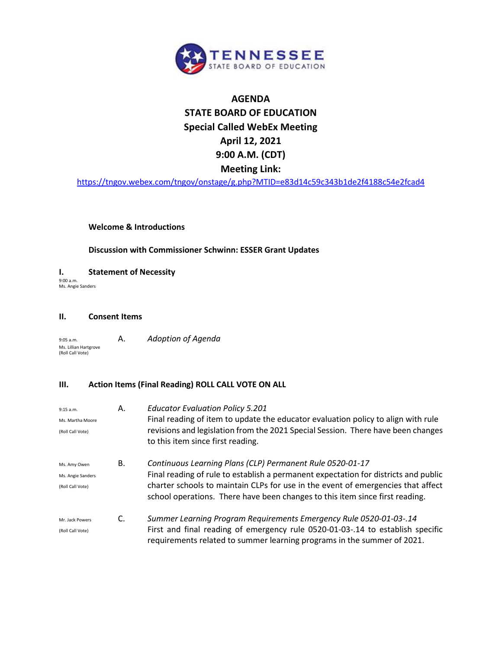

# **AGENDA STATE BOARD OF EDUCATION Special Called WebEx Meeting April 12, 2021 9:00 A.M. (CDT) Meeting Link:**

<https://tngov.webex.com/tngov/onstage/g.php?MTID=e83d14c59c343b1de2f4188c54e2fcad4>

#### **Welcome & Introductions**

#### **Discussion with Commissioner Schwinn: ESSER Grant Updates**

**I. Statement of Necessity** 9:00 a.m.

Ms. Angie Sanders

#### **II. Consent Items**

9:05 a.m. A. *Adoption of Agenda* Ms. Lillian Hartgrove (Roll Call Vote)

### **III. Action Items (Final Reading) ROLL CALL VOTE ON ALL**

| 9:15 a.m.<br>Ms. Martha Moore<br>(Roll Call Vote)     | А. | <b>Educator Evaluation Policy 5.201</b><br>Final reading of item to update the educator evaluation policy to align with rule<br>revisions and legislation from the 2021 Special Session. There have been changes<br>to this item since first reading.                                                                |
|-------------------------------------------------------|----|----------------------------------------------------------------------------------------------------------------------------------------------------------------------------------------------------------------------------------------------------------------------------------------------------------------------|
| Ms. Amy Owen<br>Ms. Angie Sanders<br>(Roll Call Vote) | В. | Continuous Learning Plans (CLP) Permanent Rule 0520-01-17<br>Final reading of rule to establish a permanent expectation for districts and public<br>charter schools to maintain CLPs for use in the event of emergencies that affect<br>school operations. There have been changes to this item since first reading. |
| Mr. Jack Powers<br>(Roll Call Vote)                   | C. | Summer Learning Program Requirements Emergency Rule 0520-01-03-.14<br>First and final reading of emergency rule 0520-01-03-.14 to establish specific<br>requirements related to summer learning programs in the summer of 2021.                                                                                      |